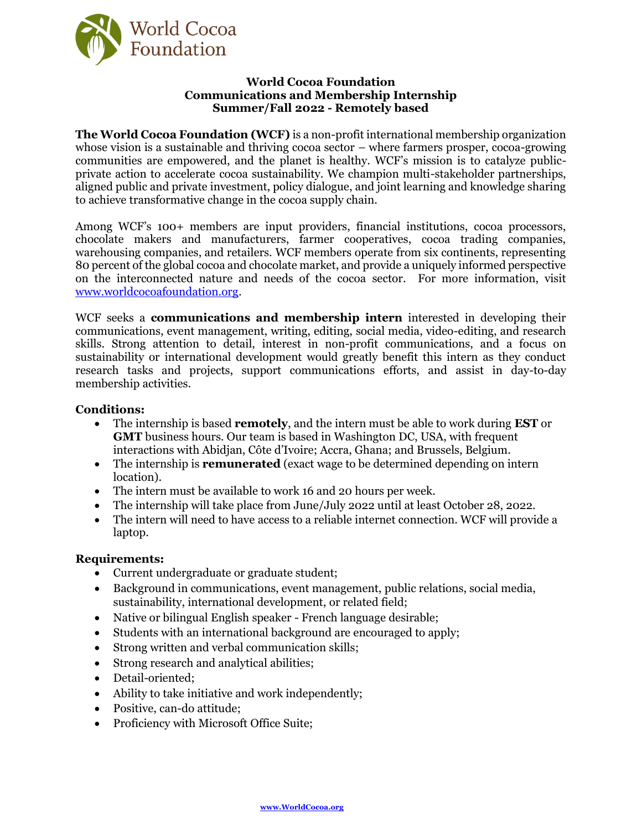

## **World Cocoa Foundation Communications and Membership Internship Summer/Fall 2022 - Remotely based**

**The World Cocoa Foundation (WCF)** is a non-profit international membership organization whose vision is a sustainable and thriving cocoa sector – where farmers prosper, cocoa-growing communities are empowered, and the planet is healthy. WCF's mission is to catalyze publicprivate action to accelerate cocoa sustainability. We champion multi-stakeholder partnerships, aligned public and private investment, policy dialogue, and joint learning and knowledge sharing to achieve transformative change in the cocoa supply chain.

Among WCF's 100+ members are input providers, financial institutions, cocoa processors, chocolate makers and manufacturers, farmer cooperatives, cocoa trading companies, warehousing companies, and retailers. WCF members operate from six continents, representing 80 percent of the global cocoa and chocolate market, and provide a uniquely informed perspective on the interconnected nature and needs of the cocoa sector. For more information, visit [www.worldcocoafoundation.org.](http://www.worldcocoafoundation.org/)

WCF seeks a **communications and membership intern** interested in developing their communications, event management, writing, editing, social media, video-editing, and research skills. Strong attention to detail, interest in non-profit communications, and a focus on sustainability or international development would greatly benefit this intern as they conduct research tasks and projects, support communications efforts, and assist in day-to-day membership activities.

# **Conditions:**

- The internship is based **remotely**, and the intern must be able to work during **EST** or **GMT** business hours. Our team is based in Washington DC, USA, with frequent interactions with Abidjan, Côte d'Ivoire; Accra, Ghana; and Brussels, Belgium.
- The internship is **remunerated** (exact wage to be determined depending on intern location).
- The intern must be available to work 16 and 20 hours per week.
- The internship will take place from June/July 2022 until at least October 28, 2022.
- The intern will need to have access to a reliable internet connection. WCF will provide a laptop.

#### **Requirements:**

- Current undergraduate or graduate student;
- Background in communications, event management, public relations, social media, sustainability, international development, or related field;
- Native or bilingual English speaker French language desirable;
- Students with an international background are encouraged to apply;
- Strong written and verbal communication skills;
- Strong research and analytical abilities;
- Detail-oriented;
- Ability to take initiative and work independently;
- Positive, can-do attitude;
- Proficiency with Microsoft Office Suite;